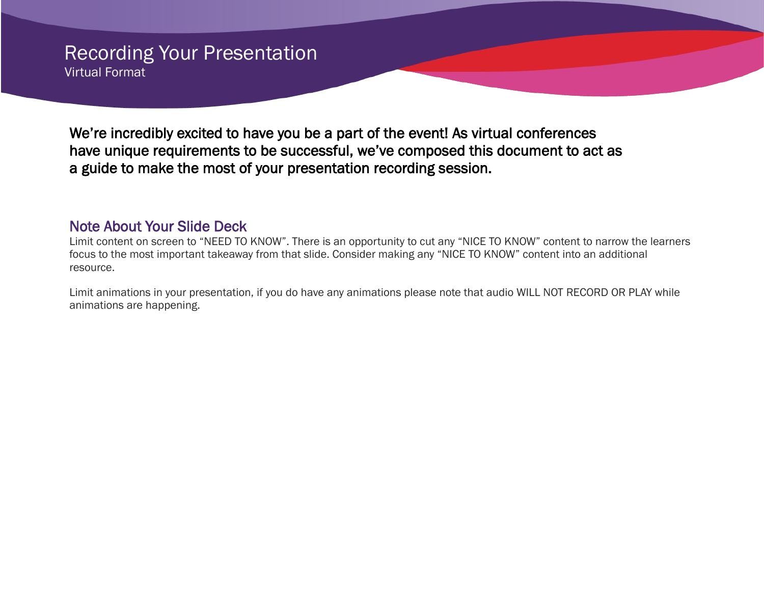# Recording Your Presentation Virtual Format

We're incredibly excited to have you be a part of the event! As virtual conferences have unique requirements to be successful, we've composed this document to act as a guide to make the most of your presentation recording session.

Note About Your Slide Deck<br>Limit content on screen to "NEED TO KNOW". There is an opportunity to cut any "NICE TO KNOW" content to narrow the learners focus to the most important takeaway from that slide. Consider making any "NICE TO KNOW" content into an additional resource.

Limit animations in your presentation, if you do have any animations please note that audio WILL NOT RECORD OR PLAY while animations are happening.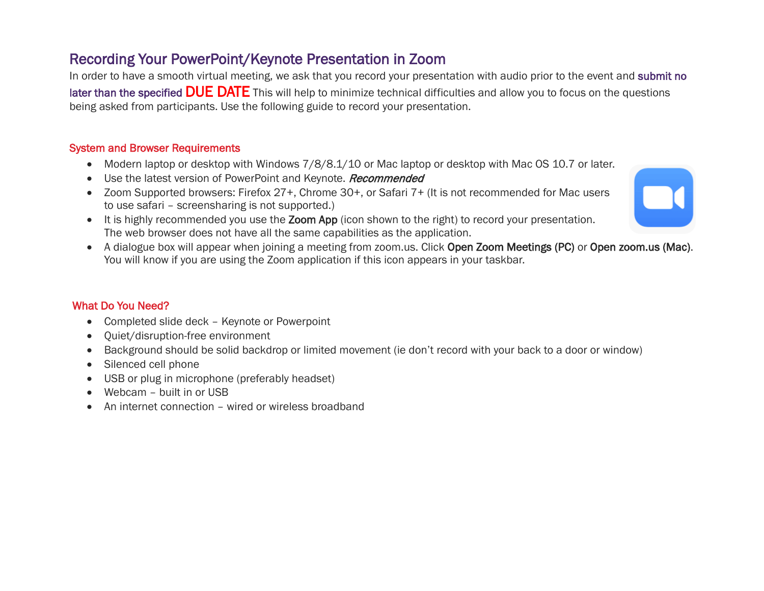# Recording Your PowerPoint/Keynote Presentation in Zoom

In order to have a smooth virtual meeting, we ask that you record your presentation with audio prior to the event and submit no later than the specified **DUE DATE** This will help to minimize technical difficulties and allow you to focus on the questions being asked from participants. Use the following guide to record your presentation.

## System and Browser Requirements

- Modern laptop or desktop with Windows 7/8/8.1/10 or Mac laptop or desktop with Mac OS 10.7 or later.
- Use the latest version of PowerPoint and Keynote. Recommended
- Zoom Supported browsers: Firefox 27+, Chrome 30+, or Safari 7+ (It is not recommended for Mac users to use safari – screensharing is not supported.)
- It is highly recommended you use the Zoom App (icon shown to the right) to record your presentation. The web browser does not have all the same capabilities as the application.
- A dialogue box will appear when joining a meeting from zoom.us. Click Open Zoom Meetings (PC) or Open zoom.us (Mac). You will know if you are using the Zoom application if this icon appears in your taskbar.

# What Do You Need?

- Completed slide deck Keynote or Powerpoint
- Quiet/disruption-free environment
- Background should be solid backdrop or limited movement (ie don't record with your back to a door or window)
- Silenced cell phone
- USB or plug in microphone (preferably headset)
- Webcam built in or USB
- An internet connection wired or wireless broadband

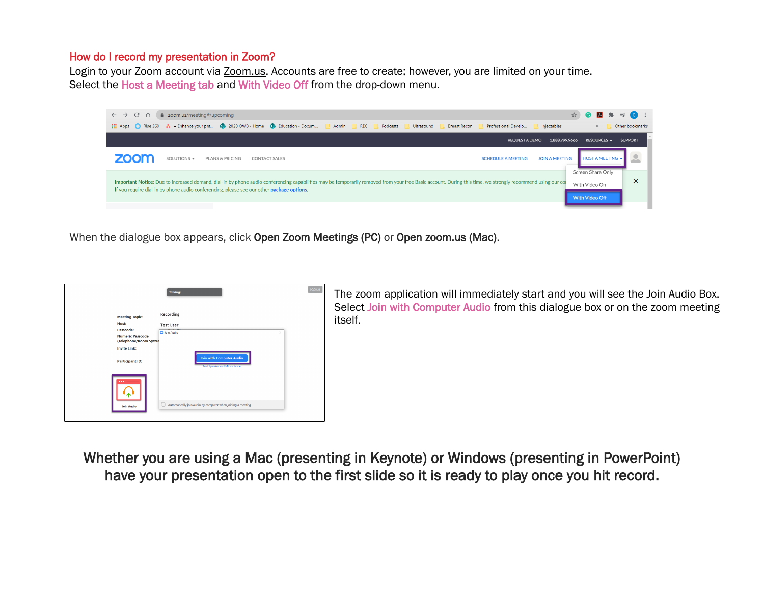### How do I record my presentation in Zoom?

Login to your Zoom account via [Zoom.us.](https://zoom.us/) Accounts are free to create; however, you are limited on your time. Select the Host a Meeting tab and With Video Off from the drop-down menu.



When the dialogue box appears, click Open Zoom Meetings (PC) or Open zoom.us (Mac).



The zoom application will immediately start and you will see the Join Audio Box. Select Join with Computer Audio from this dialogue box or on the zoom meeting itself.

Whether you are using a Mac (presenting in Keynote) or Windows (presenting in PowerPoint) have your presentation open to the first slide so it is ready to play once you hit record.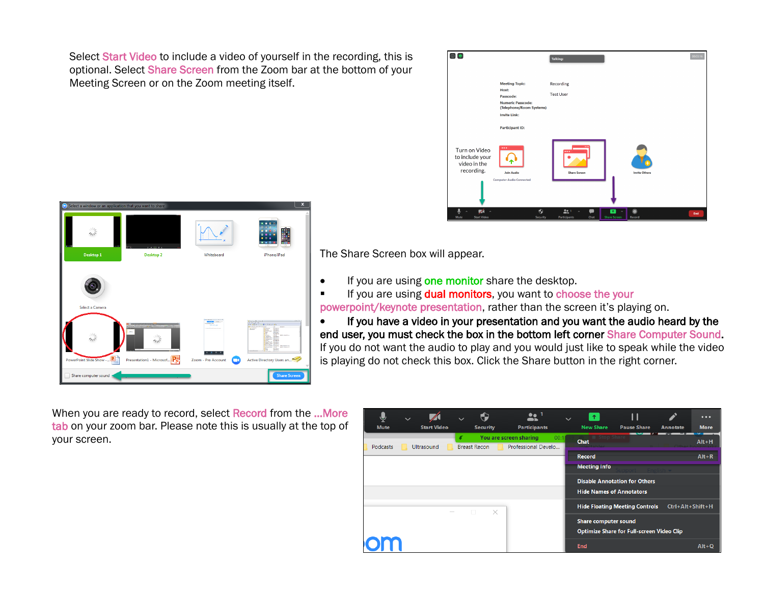Select Start Video to include a video of yourself in the recording, this is optional. Select Share Screen from the Zoom bar at the bottom of your Meeting Screen or on the Zoom meeting itself.





The Share Screen box will appear.

- If you are using one monitor share the desktop.
- If you are using **dual monitors**, you want to choose the your powerpoint/keynote presentation, rather than the screen it's playing on.

• If you have a video in your presentation and you want the audio heard by the end user, you must check the box in the bottom left corner Share Computer Sound. If you do not want the audio to play and you would just like to speak while the video is playing do not check this box. Click the Share button in the right corner.

When you are ready to record, select Record from the …More tab on your zoom bar. Please note this is usually at the top of your screen.

| <b>Mute</b>     | <b>Start Video</b> |                          | <b>Security</b> | <br><b>Participants</b>                       | $\checkmark$ | 不<br><b>New Share</b>                | <b>Pause Share</b>                               | Annotate             | $\bullet\bullet\bullet$<br><b>More</b> |
|-----------------|--------------------|--------------------------|-----------------|-----------------------------------------------|--------------|--------------------------------------|--------------------------------------------------|----------------------|----------------------------------------|
| <b>Podcasts</b> | <b>Ultrasound</b>  | ∡<br><b>Breast Recon</b> |                 | You are screen sharing<br>Professional Develo | 00:1         | <b>■ Stop Share</b><br><b>Chat</b>   |                                                  |                      | $Alt+H$                                |
|                 |                    |                          |                 |                                               |              | <b>Record</b><br><b>Meeting Info</b> |                                                  | Fnallch <del>-</del> | $Alt + R$                              |
|                 |                    |                          |                 |                                               |              | <b>Hide Names of Annotators</b>      | <b>Disable Annotation for Others</b>             |                      |                                        |
|                 |                    | $\Box$                   | $\times$        |                                               |              |                                      | <b>Hide Floating Meeting Controls</b>            | Ctrl+Alt+Shift+H     |                                        |
|                 |                    |                          |                 |                                               |              | Share computer sound                 | <b>Optimize Share for Full-screen Video Clip</b> |                      |                                        |
|                 |                    |                          |                 |                                               |              | <b>End</b>                           |                                                  |                      | $Alt + Q$                              |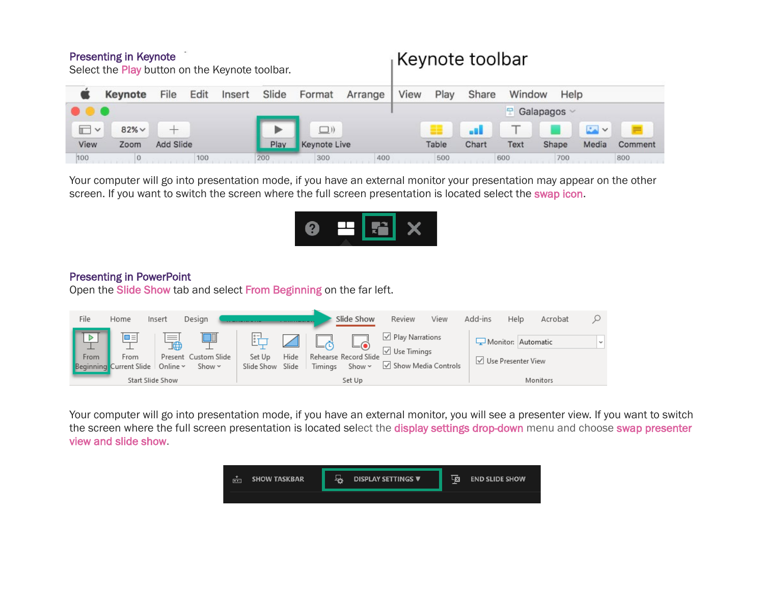## Presenting in Keynote

| Select the Play button on the Keynote toolbar. |             |           |      |        |       |                     |         | <b>ICVIIOLE LUUIDAI</b>         |       |       |        |       |                     |         |  |
|------------------------------------------------|-------------|-----------|------|--------|-------|---------------------|---------|---------------------------------|-------|-------|--------|-------|---------------------|---------|--|
|                                                | Keynote     | File      | Edit | Insert | Slide | Format              | Arrange | View                            | Play  | Share | Window | Help  |                     |         |  |
| .                                              |             |           |      |        |       |                     |         | $\blacksquare$ Galapagos $\vee$ |       |       |        |       |                     |         |  |
| $\Box$ $\vee$                                  | $82\% \vee$ |           |      |        |       | $\Box$ )            |         |                                 |       | as D  |        |       | $\mathbb{R} \times$ |         |  |
| View                                           | Zoom        | Add Slide |      |        | Play  | <b>Keynote Live</b> |         |                                 | Table | Chart | Text   | Shape | Media               | Comment |  |
| 100                                            |             |           | 100  |        | 200   | 300                 | 400     |                                 | 500   |       | 600    | 700   |                     | 800     |  |

Koynoto toolbor

Your computer will go into presentation mode, if you have an external monitor your presentation may appear on the other screen. If you want to switch the screen where the full screen presentation is located select the swap icon.



### Presenting in PowerPoint

Open the Slide Show tab and select From Beginning on the far left.



Your computer will go into presentation mode, if you have an external monitor, you will see a presenter view. If you want to switch the screen where the full screen presentation is located select the display settings drop-down menu and choose swap presenter view and slide show.